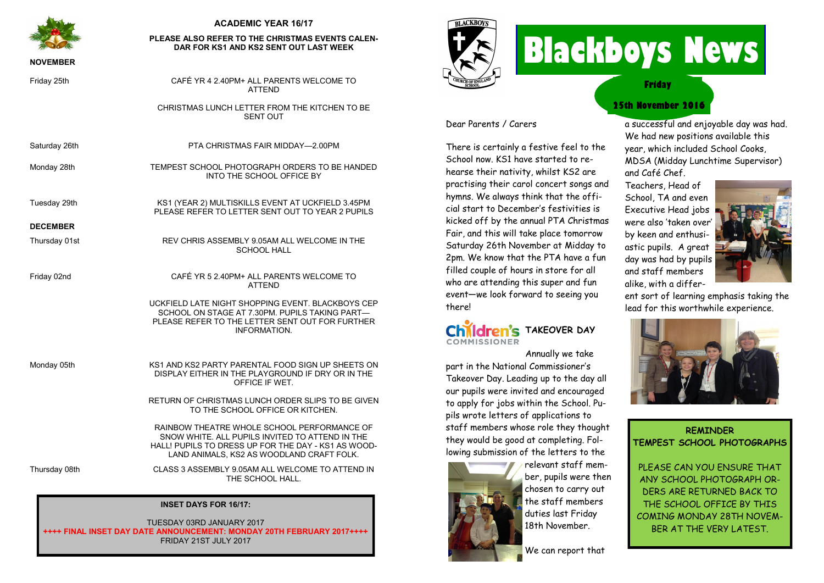

### **ACADEMIC YEAR 16/17**

#### **PLEASE ALSO REFER TO THE CHRISTMAS EVENTS CALEN-DAR FOR KS1 AND KS2 SENT OUT LAST WEEK**

#### **NOVEMBER**

| Friday 25th |  |
|-------------|--|
|-------------|--|

Tuesday 29th

| <u>the community of the community of the community of the community of the community of the community of the community of the community of the community of the community of the community of the community of the community of </u> | DAR FOR NGT AND NGL SENT OUT LAST WEEN.                                                                                                                                       |
|--------------------------------------------------------------------------------------------------------------------------------------------------------------------------------------------------------------------------------------|-------------------------------------------------------------------------------------------------------------------------------------------------------------------------------|
| <b>NOVEMBER</b>                                                                                                                                                                                                                      |                                                                                                                                                                               |
| Friday 25th                                                                                                                                                                                                                          | CAFÉ YR 4 2.40PM+ ALL PARENTS WELCOME TO<br><b>ATTEND</b>                                                                                                                     |
|                                                                                                                                                                                                                                      | CHRISTMAS LUNCH LETTER FROM THE KITCHEN TO BE<br><b>SENT OUT</b>                                                                                                              |
| Saturday 26th                                                                                                                                                                                                                        | PTA CHRISTMAS FAIR MIDDAY-2.00PM                                                                                                                                              |
| Monday 28th                                                                                                                                                                                                                          | TEMPEST SCHOOL PHOTOGRAPH ORDERS TO BE HANDED<br>INTO THE SCHOOL OFFICE BY                                                                                                    |
| Tuesday 29th                                                                                                                                                                                                                         | KS1 (YEAR 2) MULTISKILLS EVENT AT UCKFIELD 3.45PM<br>PLEASE REFER TO LETTER SENT OUT TO YEAR 2 PUPILS                                                                         |
| <b>DECEMBER</b>                                                                                                                                                                                                                      |                                                                                                                                                                               |
| Thursday 01st                                                                                                                                                                                                                        | REV CHRIS ASSEMBLY 9.05AM ALL WELCOME IN THE<br><b>SCHOOL HALL</b>                                                                                                            |
| Friday 02nd                                                                                                                                                                                                                          | CAFÉ YR 5 2.40PM+ ALL PARENTS WELCOME TO<br><b>ATTEND</b>                                                                                                                     |
|                                                                                                                                                                                                                                      | UCKFIELD LATE NIGHT SHOPPING EVENT. BLACKBOYS CEP<br>SCHOOL ON STAGE AT 7.30PM. PUPILS TAKING PART-<br>PLEASE REFER TO THE LETTER SENT OUT FOR FURTHER<br><b>INFORMATION.</b> |
| Monday 05th                                                                                                                                                                                                                          | KS1 AND KS2 PARTY PARENTAL FOOD SIGN UP SHEETS ON<br>DISPLAY EITHER IN THE PLAYGROUND IF DRY OR IN THE<br>OFFICE IF WET.                                                      |
|                                                                                                                                                                                                                                      | RETURN OF CHRISTMAS LUNCH ORDER SLIPS TO BE GIVEN<br>TO THE SCHOOL OFFICE OR KITCHEN.                                                                                         |
|                                                                                                                                                                                                                                      | RAINROW THEATRE WHOLE SCHOOL PERFORMANCE OF                                                                                                                                   |

RAINBOW THEATRE WHOLE SCHOOL PERFORMANCE OF SNOW WHITE. ALL PUPILS INVITED TO ATTEND IN THE HALL! PUPILS TO DRESS UP FOR THE DAY - KS1 AS WOOD-LAND ANIMALS, KS2 AS WOODLAND CRAFT FOLK.

Thursday 08th CLASS 3 ASSEMBLY 9.05AM ALL WELCOME TO ATTEND IN THE SCHOOL HALL.

#### **INSET DAYS FOR 16/17:**

TUESDAY 03RD JANUARY 2017 **++++ FINAL INSET DAY DATE ANNOUNCEMENT: MONDAY 20TH FEBRUARY 2017++++** FRIDAY 21ST JULY 2017



there!

**COMMISSIONER** 

Dear Parents / Carers

There is certainly a festive feel to the School now. KS1 have started to rehearse their nativity, whilst KS2 are practising their carol concert songs and hymns. We always think that the official start to December's festivities is kicked off by the annual PTA Christmas Fair, and this will take place tomorrow Saturday 26th November at Midday to 2pm. We know that the PTA have a fun filled couple of hours in store for all who are attending this super and fun event—we look forward to seeing you

**Children's TAKEOVER DAY** 

part in the National Commissioner's Takeover Day. Leading up to the day all our pupils were invited and encouraged to apply for jobs within the School. Pupils wrote letters of applications to staff members whose role they thought they would be good at completing. Following submission of the letters to the

# **Blackboys News**

**Friday**

## **25th November 2016**

a successful and enjoyable day was had. We had new positions available this year, which included School Cooks, MDSA (Midday Lunchtime Supervisor) and Café Chef.

Teachers, Head of School, TA and even Executive Head jobs were also 'taken over' by keen and enthusiastic pupils. A great and staff members alike, with a differ-



ent sort of learning emphasis taking the lead for this worthwhile experience.



**REMINDER TEMPEST SCHOOL PHOTOGRAPHS**

PLEASE CAN YOU ENSURE THAT ANY SCHOOL PHOTOGRAPH OR-DERS ARE RETURNED BACK TO THE SCHOOL OFFICE BY THIS COMING MONDAY 28TH NOVEM-BER AT THE VERY LATEST.



relevant staff member, pupils were then chosen to carry out the staff members duties last Friday 18th November.

Annually we take



day was had by pupils